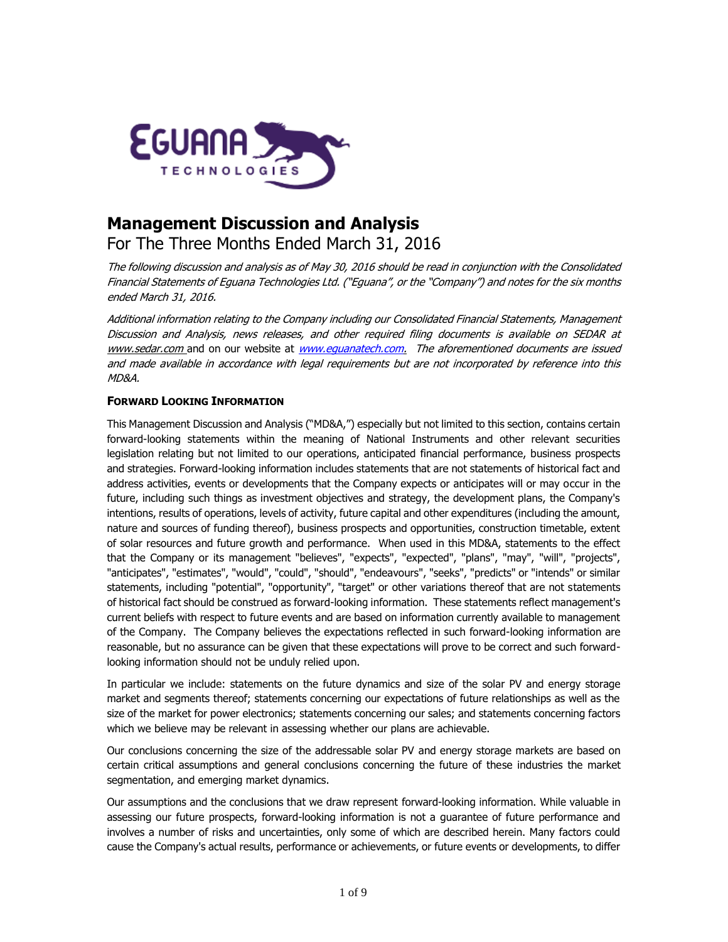

# **Management Discussion and Analysis** For The Three Months Ended March 31, 2016

The following discussion and analysis as of May 30, 2016 should be read in conjunction with the Consolidated Financial Statements of Eguana Technologies Ltd. ("Eguana", or the "Company") and notes for the six months ended March 31, 2016.

Additional information relating to the Company including our Consolidated Financial Statements, Management Discussion and Analysis, news releases, and other required filing documents is available on SEDAR at [www.sedar.com](http://www.sedar.com/) and on our website at www.equanatech.com. The aforementioned documents are issued and made available in accordance with legal requirements but are not incorporated by reference into this MD&A.

# **FORWARD LOOKING INFORMATION**

This Management Discussion and Analysis ("MD&A,") especially but not limited to this section, contains certain forward-looking statements within the meaning of National Instruments and other relevant securities legislation relating but not limited to our operations, anticipated financial performance, business prospects and strategies. Forward-looking information includes statements that are not statements of historical fact and address activities, events or developments that the Company expects or anticipates will or may occur in the future, including such things as investment objectives and strategy, the development plans, the Company's intentions, results of operations, levels of activity, future capital and other expenditures (including the amount, nature and sources of funding thereof), business prospects and opportunities, construction timetable, extent of solar resources and future growth and performance. When used in this MD&A, statements to the effect that the Company or its management "believes", "expects", "expected", "plans", "may", "will", "projects", "anticipates", "estimates", "would", "could", "should", "endeavours", "seeks", "predicts" or "intends" or similar statements, including "potential", "opportunity", "target" or other variations thereof that are not statements of historical fact should be construed as forward-looking information. These statements reflect management's current beliefs with respect to future events and are based on information currently available to management of the Company. The Company believes the expectations reflected in such forward-looking information are reasonable, but no assurance can be given that these expectations will prove to be correct and such forwardlooking information should not be unduly relied upon.

In particular we include: statements on the future dynamics and size of the solar PV and energy storage market and segments thereof; statements concerning our expectations of future relationships as well as the size of the market for power electronics; statements concerning our sales; and statements concerning factors which we believe may be relevant in assessing whether our plans are achievable.

Our conclusions concerning the size of the addressable solar PV and energy storage markets are based on certain critical assumptions and general conclusions concerning the future of these industries the market segmentation, and emerging market dynamics.

Our assumptions and the conclusions that we draw represent forward-looking information. While valuable in assessing our future prospects, forward-looking information is not a guarantee of future performance and involves a number of risks and uncertainties, only some of which are described herein. Many factors could cause the Company's actual results, performance or achievements, or future events or developments, to differ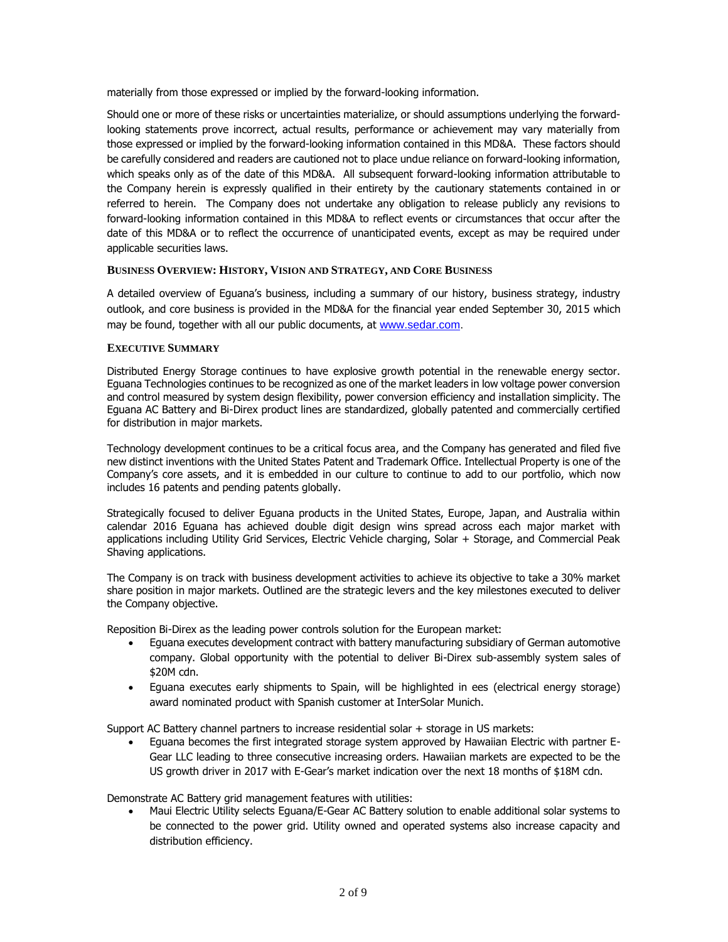materially from those expressed or implied by the forward-looking information.

Should one or more of these risks or uncertainties materialize, or should assumptions underlying the forwardlooking statements prove incorrect, actual results, performance or achievement may vary materially from those expressed or implied by the forward-looking information contained in this MD&A. These factors should be carefully considered and readers are cautioned not to place undue reliance on forward-looking information, which speaks only as of the date of this MD&A. All subsequent forward-looking information attributable to the Company herein is expressly qualified in their entirety by the cautionary statements contained in or referred to herein. The Company does not undertake any obligation to release publicly any revisions to forward-looking information contained in this MD&A to reflect events or circumstances that occur after the date of this MD&A or to reflect the occurrence of unanticipated events, except as may be required under applicable securities laws.

# **BUSINESS OVERVIEW: HISTORY, VISION AND STRATEGY, AND CORE BUSINESS**

A detailed overview of Eguana's business, including a summary of our history, business strategy, industry outlook, and core business is provided in the MD&A for the financial year ended September 30, 2015 which may be found, together with all our public documents, at [www.sedar.com.](http://www.sedar.com/)

#### **EXECUTIVE SUMMARY**

Distributed Energy Storage continues to have explosive growth potential in the renewable energy sector. Eguana Technologies continues to be recognized as one of the market leaders in low voltage power conversion and control measured by system design flexibility, power conversion efficiency and installation simplicity. The Eguana AC Battery and Bi-Direx product lines are standardized, globally patented and commercially certified for distribution in major markets.

Technology development continues to be a critical focus area, and the Company has generated and filed five new distinct inventions with the United States Patent and Trademark Office. Intellectual Property is one of the Company's core assets, and it is embedded in our culture to continue to add to our portfolio, which now includes 16 patents and pending patents globally.

Strategically focused to deliver Eguana products in the United States, Europe, Japan, and Australia within calendar 2016 Eguana has achieved double digit design wins spread across each major market with applications including Utility Grid Services, Electric Vehicle charging, Solar + Storage, and Commercial Peak Shaving applications.

The Company is on track with business development activities to achieve its objective to take a 30% market share position in major markets. Outlined are the strategic levers and the key milestones executed to deliver the Company objective.

Reposition Bi-Direx as the leading power controls solution for the European market:

- Eguana executes development contract with battery manufacturing subsidiary of German automotive company. Global opportunity with the potential to deliver Bi-Direx sub-assembly system sales of \$20M cdn.
- Eguana executes early shipments to Spain, will be highlighted in ees (electrical energy storage) award nominated product with Spanish customer at InterSolar Munich.

Support AC Battery channel partners to increase residential solar + storage in US markets:

 Eguana becomes the first integrated storage system approved by Hawaiian Electric with partner E-Gear LLC leading to three consecutive increasing orders. Hawaiian markets are expected to be the US growth driver in 2017 with E-Gear's market indication over the next 18 months of \$18M cdn.

Demonstrate AC Battery grid management features with utilities:

 Maui Electric Utility selects Eguana/E-Gear AC Battery solution to enable additional solar systems to be connected to the power grid. Utility owned and operated systems also increase capacity and distribution efficiency.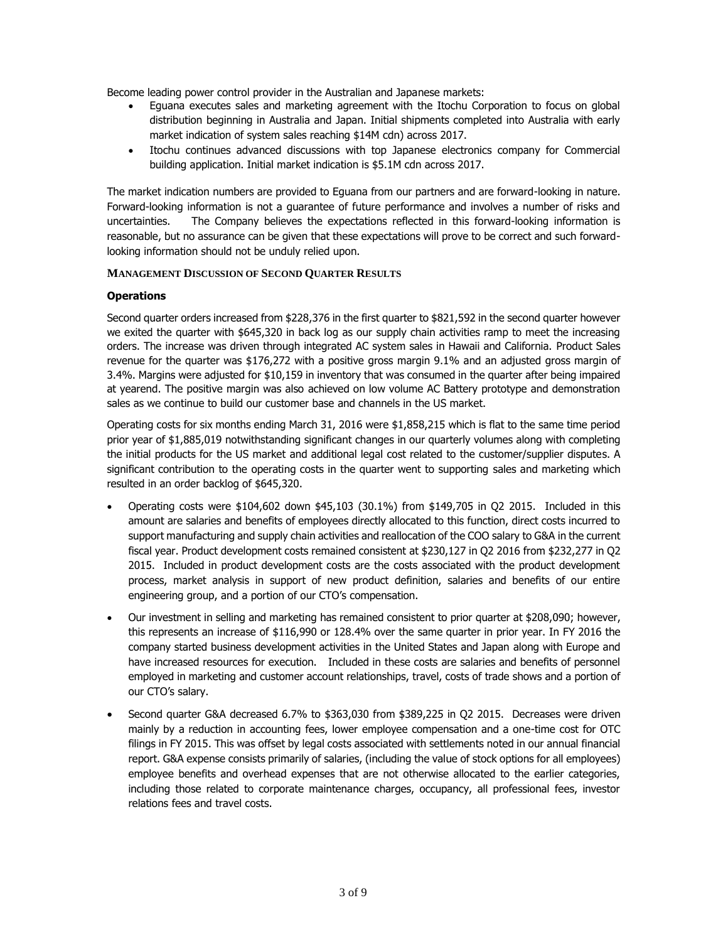Become leading power control provider in the Australian and Japanese markets:

- Eguana executes sales and marketing agreement with the Itochu Corporation to focus on global distribution beginning in Australia and Japan. Initial shipments completed into Australia with early market indication of system sales reaching \$14M cdn) across 2017.
- Itochu continues advanced discussions with top Japanese electronics company for Commercial building application. Initial market indication is \$5.1M cdn across 2017.

The market indication numbers are provided to Eguana from our partners and are forward-looking in nature. Forward-looking information is not a guarantee of future performance and involves a number of risks and uncertainties. The Company believes the expectations reflected in this forward-looking information is reasonable, but no assurance can be given that these expectations will prove to be correct and such forwardlooking information should not be unduly relied upon.

#### **MANAGEMENT DISCUSSION OF SECOND QUARTER RESULTS**

#### **Operations**

Second quarter orders increased from \$228,376 in the first quarter to \$821,592 in the second quarter however we exited the quarter with \$645,320 in back log as our supply chain activities ramp to meet the increasing orders. The increase was driven through integrated AC system sales in Hawaii and California. Product Sales revenue for the quarter was \$176,272 with a positive gross margin 9.1% and an adjusted gross margin of 3.4%. Margins were adjusted for \$10,159 in inventory that was consumed in the quarter after being impaired at yearend. The positive margin was also achieved on low volume AC Battery prototype and demonstration sales as we continue to build our customer base and channels in the US market.

Operating costs for six months ending March 31, 2016 were \$1,858,215 which is flat to the same time period prior year of \$1,885,019 notwithstanding significant changes in our quarterly volumes along with completing the initial products for the US market and additional legal cost related to the customer/supplier disputes. A significant contribution to the operating costs in the quarter went to supporting sales and marketing which resulted in an order backlog of \$645,320.

- Operating costs were \$104,602 down \$45,103 (30.1%) from \$149,705 in Q2 2015. Included in this amount are salaries and benefits of employees directly allocated to this function, direct costs incurred to support manufacturing and supply chain activities and reallocation of the COO salary to G&A in the current fiscal year. Product development costs remained consistent at \$230,127 in Q2 2016 from \$232,277 in Q2 2015. Included in product development costs are the costs associated with the product development process, market analysis in support of new product definition, salaries and benefits of our entire engineering group, and a portion of our CTO's compensation.
- Our investment in selling and marketing has remained consistent to prior quarter at \$208,090; however, this represents an increase of \$116,990 or 128.4% over the same quarter in prior year. In FY 2016 the company started business development activities in the United States and Japan along with Europe and have increased resources for execution. Included in these costs are salaries and benefits of personnel employed in marketing and customer account relationships, travel, costs of trade shows and a portion of our CTO's salary.
- Second quarter G&A decreased 6.7% to \$363,030 from \$389,225 in Q2 2015. Decreases were driven mainly by a reduction in accounting fees, lower employee compensation and a one-time cost for OTC filings in FY 2015. This was offset by legal costs associated with settlements noted in our annual financial report. G&A expense consists primarily of salaries, (including the value of stock options for all employees) employee benefits and overhead expenses that are not otherwise allocated to the earlier categories, including those related to corporate maintenance charges, occupancy, all professional fees, investor relations fees and travel costs.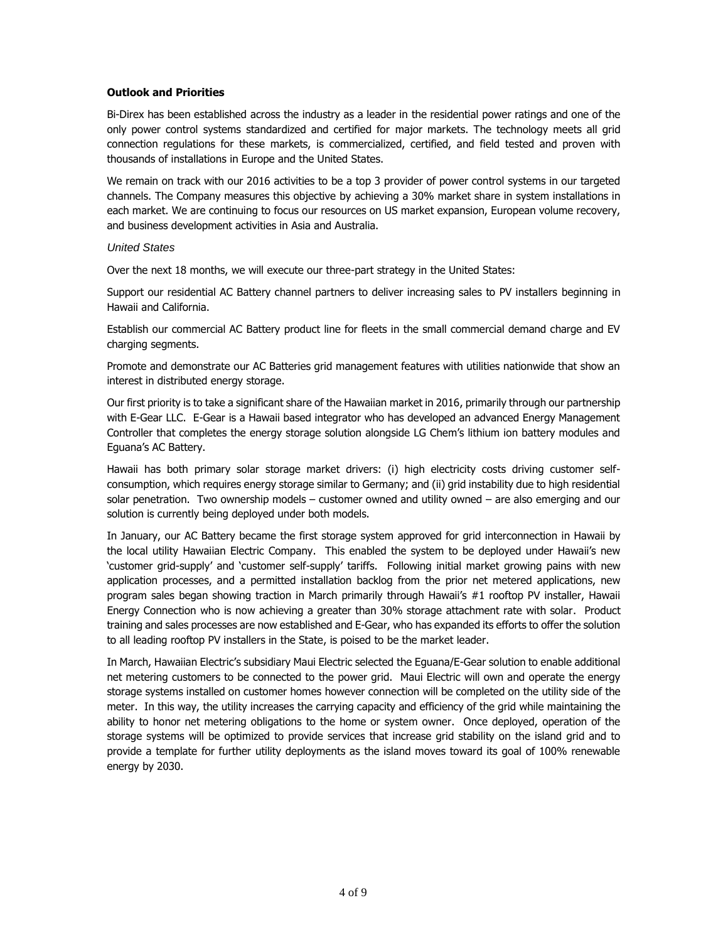#### **Outlook and Priorities**

Bi-Direx has been established across the industry as a leader in the residential power ratings and one of the only power control systems standardized and certified for major markets. The technology meets all grid connection regulations for these markets, is commercialized, certified, and field tested and proven with thousands of installations in Europe and the United States.

We remain on track with our 2016 activities to be a top 3 provider of power control systems in our targeted channels. The Company measures this objective by achieving a 30% market share in system installations in each market. We are continuing to focus our resources on US market expansion, European volume recovery, and business development activities in Asia and Australia.

#### *United States*

Over the next 18 months, we will execute our three-part strategy in the United States:

Support our residential AC Battery channel partners to deliver increasing sales to PV installers beginning in Hawaii and California.

Establish our commercial AC Battery product line for fleets in the small commercial demand charge and EV charging segments.

Promote and demonstrate our AC Batteries grid management features with utilities nationwide that show an interest in distributed energy storage.

Our first priority is to take a significant share of the Hawaiian market in 2016, primarily through our partnership with E-Gear LLC. E-Gear is a Hawaii based integrator who has developed an advanced Energy Management Controller that completes the energy storage solution alongside LG Chem's lithium ion battery modules and Eguana's AC Battery.

Hawaii has both primary solar storage market drivers: (i) high electricity costs driving customer selfconsumption, which requires energy storage similar to Germany; and (ii) grid instability due to high residential solar penetration. Two ownership models – customer owned and utility owned – are also emerging and our solution is currently being deployed under both models.

In January, our AC Battery became the first storage system approved for grid interconnection in Hawaii by the local utility Hawaiian Electric Company. This enabled the system to be deployed under Hawaii's new 'customer grid-supply' and 'customer self-supply' tariffs. Following initial market growing pains with new application processes, and a permitted installation backlog from the prior net metered applications, new program sales began showing traction in March primarily through Hawaii's #1 rooftop PV installer, Hawaii Energy Connection who is now achieving a greater than 30% storage attachment rate with solar. Product training and sales processes are now established and E-Gear, who has expanded its efforts to offer the solution to all leading rooftop PV installers in the State, is poised to be the market leader.

In March, Hawaiian Electric's subsidiary Maui Electric selected the Eguana/E-Gear solution to enable additional net metering customers to be connected to the power grid. Maui Electric will own and operate the energy storage systems installed on customer homes however connection will be completed on the utility side of the meter. In this way, the utility increases the carrying capacity and efficiency of the grid while maintaining the ability to honor net metering obligations to the home or system owner. Once deployed, operation of the storage systems will be optimized to provide services that increase grid stability on the island grid and to provide a template for further utility deployments as the island moves toward its goal of 100% renewable energy by 2030.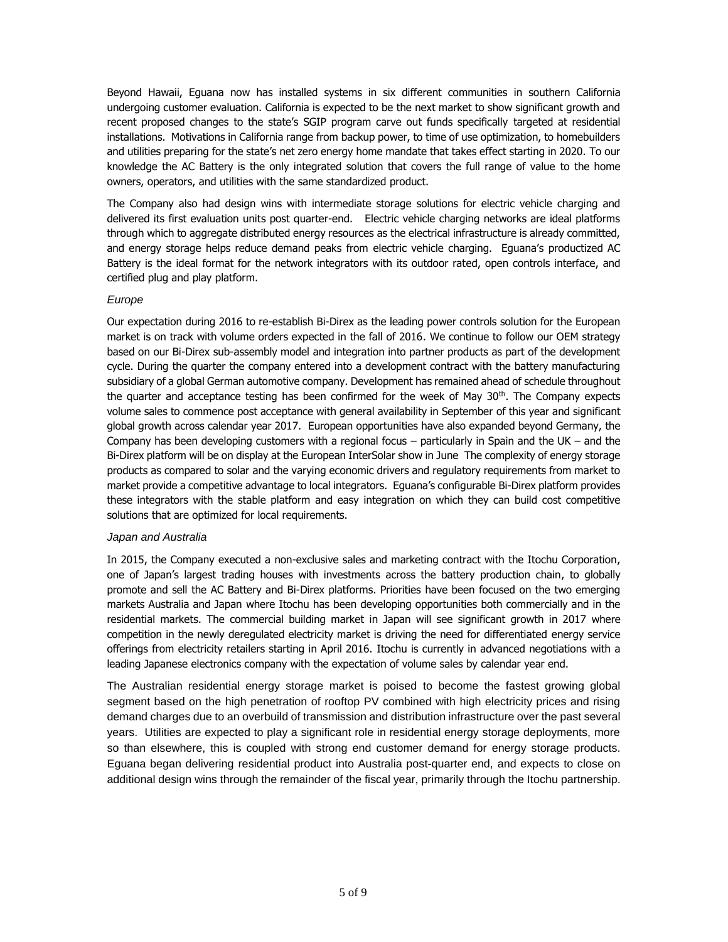Beyond Hawaii, Eguana now has installed systems in six different communities in southern California undergoing customer evaluation. California is expected to be the next market to show significant growth and recent proposed changes to the state's SGIP program carve out funds specifically targeted at residential installations. Motivations in California range from backup power, to time of use optimization, to homebuilders and utilities preparing for the state's net zero energy home mandate that takes effect starting in 2020. To our knowledge the AC Battery is the only integrated solution that covers the full range of value to the home owners, operators, and utilities with the same standardized product.

The Company also had design wins with intermediate storage solutions for electric vehicle charging and delivered its first evaluation units post quarter-end. Electric vehicle charging networks are ideal platforms through which to aggregate distributed energy resources as the electrical infrastructure is already committed, and energy storage helps reduce demand peaks from electric vehicle charging. Eguana's productized AC Battery is the ideal format for the network integrators with its outdoor rated, open controls interface, and certified plug and play platform.

# *Europe*

Our expectation during 2016 to re-establish Bi-Direx as the leading power controls solution for the European market is on track with volume orders expected in the fall of 2016. We continue to follow our OEM strategy based on our Bi-Direx sub-assembly model and integration into partner products as part of the development cycle. During the quarter the company entered into a development contract with the battery manufacturing subsidiary of a global German automotive company. Development has remained ahead of schedule throughout the quarter and acceptance testing has been confirmed for the week of May 30<sup>th</sup>. The Company expects volume sales to commence post acceptance with general availability in September of this year and significant global growth across calendar year 2017. European opportunities have also expanded beyond Germany, the Company has been developing customers with a regional focus – particularly in Spain and the UK – and the Bi-Direx platform will be on display at the European InterSolar show in June The complexity of energy storage products as compared to solar and the varying economic drivers and regulatory requirements from market to market provide a competitive advantage to local integrators. Eguana's configurable Bi-Direx platform provides these integrators with the stable platform and easy integration on which they can build cost competitive solutions that are optimized for local requirements.

# *Japan and Australia*

In 2015, the Company executed a non-exclusive sales and marketing contract with the Itochu Corporation, one of Japan's largest trading houses with investments across the battery production chain, to globally promote and sell the AC Battery and Bi-Direx platforms. Priorities have been focused on the two emerging markets Australia and Japan where Itochu has been developing opportunities both commercially and in the residential markets. The commercial building market in Japan will see significant growth in 2017 where competition in the newly deregulated electricity market is driving the need for differentiated energy service offerings from electricity retailers starting in April 2016. Itochu is currently in advanced negotiations with a leading Japanese electronics company with the expectation of volume sales by calendar year end.

The Australian residential energy storage market is poised to become the fastest growing global segment based on the high penetration of rooftop PV combined with high electricity prices and rising demand charges due to an overbuild of transmission and distribution infrastructure over the past several years. Utilities are expected to play a significant role in residential energy storage deployments, more so than elsewhere, this is coupled with strong end customer demand for energy storage products. Eguana began delivering residential product into Australia post-quarter end, and expects to close on additional design wins through the remainder of the fiscal year, primarily through the Itochu partnership.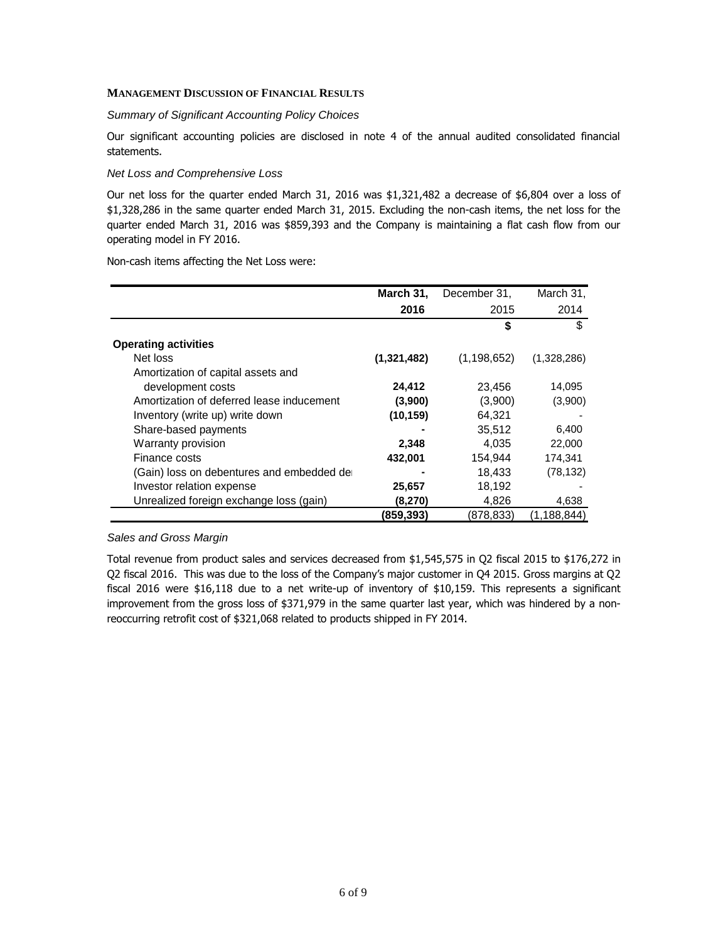#### **MANAGEMENT DISCUSSION OF FINANCIAL RESULTS**

#### *Summary of Significant Accounting Policy Choices*

Our significant accounting policies are disclosed in note 4 of the annual audited consolidated financial statements.

#### *Net Loss and Comprehensive Loss*

Our net loss for the quarter ended March 31, 2016 was \$1,321,482 a decrease of \$6,804 over a loss of \$1,328,286 in the same quarter ended March 31, 2015. Excluding the non-cash items, the net loss for the quarter ended March 31, 2016 was \$859,393 and the Company is maintaining a flat cash flow from our operating model in FY 2016.

Non-cash items affecting the Net Loss were:

|                                           | March 31,   | December 31,  | March 31,     |
|-------------------------------------------|-------------|---------------|---------------|
|                                           | 2016        | 2015          | 2014          |
|                                           |             | \$            | \$            |
| <b>Operating activities</b>               |             |               |               |
| Net loss                                  | (1,321,482) | (1, 198, 652) | (1,328,286)   |
| Amortization of capital assets and        |             |               |               |
| development costs                         | 24,412      | 23,456        | 14,095        |
| Amortization of deferred lease inducement | (3,900)     | (3,900)       | (3,900)       |
| Inventory (write up) write down           | (10, 159)   | 64,321        |               |
| Share-based payments                      |             | 35.512        | 6,400         |
| Warranty provision                        | 2,348       | 4.035         | 22,000        |
| Finance costs                             | 432,001     | 154,944       | 174,341       |
| (Gain) loss on debentures and embedded de |             | 18,433        | (78, 132)     |
| Investor relation expense                 | 25,657      | 18,192        |               |
| Unrealized foreign exchange loss (gain)   | (8,270)     | 4,826         | 4,638         |
|                                           | (859,393)   | (878,833)     | (1, 188, 844) |

#### *Sales and Gross Margin*

Total revenue from product sales and services decreased from \$1,545,575 in Q2 fiscal 2015 to \$176,272 in Q2 fiscal 2016. This was due to the loss of the Company's major customer in Q4 2015. Gross margins at Q2 fiscal 2016 were \$16,118 due to a net write-up of inventory of \$10,159. This represents a significant improvement from the gross loss of \$371,979 in the same quarter last year, which was hindered by a nonreoccurring retrofit cost of \$321,068 related to products shipped in FY 2014.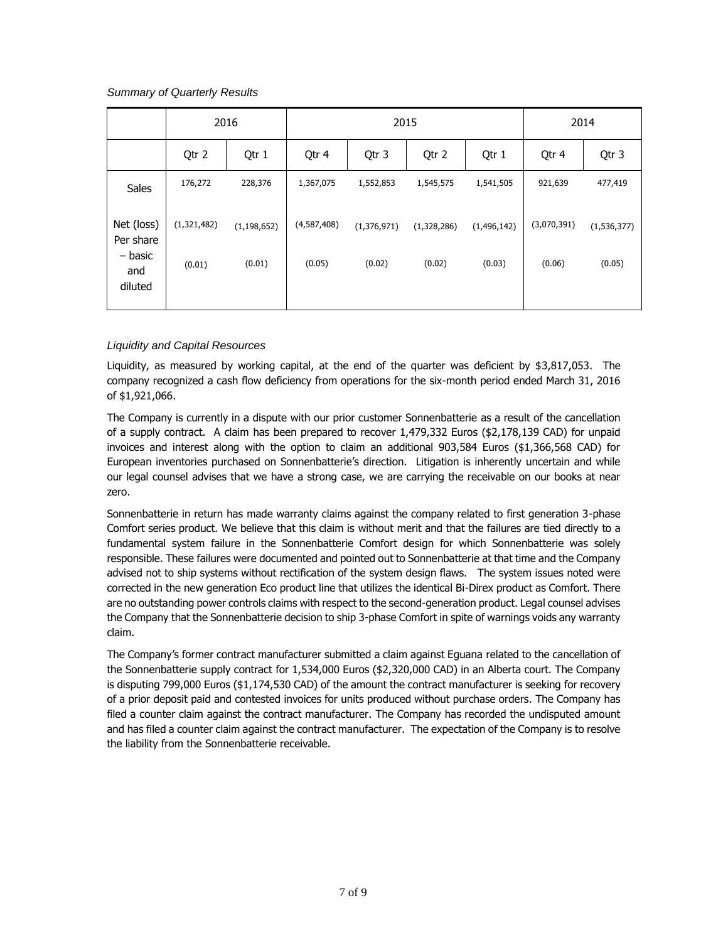*Summary of Quarterly Results*

|                           |             | 2016          | 2015        |             |             |             | 2014        |               |
|---------------------------|-------------|---------------|-------------|-------------|-------------|-------------|-------------|---------------|
|                           | Qtr 2       | Qtr 1         | Qtr 4       | Qtr 3       | Qtr 2       | Qtr 1       | Qtr 4       | Qtr 3         |
| Sales                     | 176,272     | 228,376       | 1,367,075   | 1,552,853   | 1,545,575   | 1,541,505   | 921,639     | 477,419       |
| Net (loss)<br>Per share   | (1,321,482) | (1, 198, 652) | (4,587,408) | (1,376,971) | (1,328,286) | (1,496,142) | (3,070,391) | (1, 536, 377) |
| – basic<br>and<br>diluted | (0.01)      | (0.01)        | (0.05)      | (0.02)      | (0.02)      | (0.03)      | (0.06)      | (0.05)        |

# *Liquidity and Capital Resources*

Liquidity, as measured by working capital, at the end of the quarter was deficient by \$3,817,053. The company recognized a cash flow deficiency from operations for the six-month period ended March 31, 2016 of \$1,921,066.

The Company is currently in a dispute with our prior customer Sonnenbatterie as a result of the cancellation of a supply contract. A claim has been prepared to recover 1,479,332 Euros (\$2,178,139 CAD) for unpaid invoices and interest along with the option to claim an additional 903,584 Euros (\$1,366,568 CAD) for European inventories purchased on Sonnenbatterie's direction. Litigation is inherently uncertain and while our legal counsel advises that we have a strong case, we are carrying the receivable on our books at near zero.

Sonnenbatterie in return has made warranty claims against the company related to first generation 3-phase Comfort series product. We believe that this claim is without merit and that the failures are tied directly to a fundamental system failure in the Sonnenbatterie Comfort design for which Sonnenbatterie was solely responsible. These failures were documented and pointed out to Sonnenbatterie at that time and the Company advised not to ship systems without rectification of the system design flaws. The system issues noted were corrected in the new generation Eco product line that utilizes the identical Bi-Direx product as Comfort. There are no outstanding power controls claims with respect to the second-generation product. Legal counsel advises the Company that the Sonnenbatterie decision to ship 3-phase Comfort in spite of warnings voids any warranty claim.

The Company's former contract manufacturer submitted a claim against Eguana related to the cancellation of the Sonnenbatterie supply contract for 1,534,000 Euros (\$2,320,000 CAD) in an Alberta court. The Company is disputing 799,000 Euros (\$1,174,530 CAD) of the amount the contract manufacturer is seeking for recovery of a prior deposit paid and contested invoices for units produced without purchase orders. The Company has filed a counter claim against the contract manufacturer. The Company has recorded the undisputed amount and has filed a counter claim against the contract manufacturer. The expectation of the Company is to resolve the liability from the Sonnenbatterie receivable.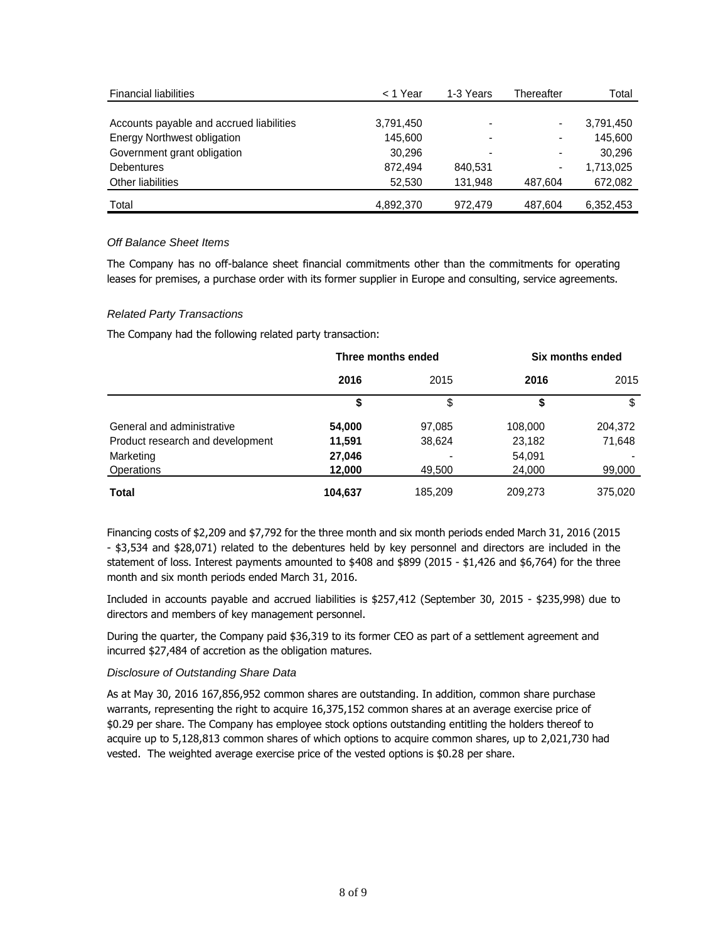| <b>Financial liabilities</b>             | < 1 Year  | 1-3 Years                | Thereafter | Total     |
|------------------------------------------|-----------|--------------------------|------------|-----------|
|                                          |           |                          |            |           |
| Accounts payable and accrued liabilities | 3,791,450 |                          |            | 3,791,450 |
| <b>Energy Northwest obligation</b>       | 145.600   |                          |            | 145.600   |
| Government grant obligation              | 30.296    | $\overline{\phantom{0}}$ |            | 30,296    |
| <b>Debentures</b>                        | 872.494   | 840.531                  |            | 1,713,025 |
| Other liabilities                        | 52.530    | 131.948                  | 487.604    | 672,082   |
| Total                                    | 4.892.370 | 972.479                  | 487.604    | 6.352.453 |

# *Off Balance Sheet Items*

The Company has no off-balance sheet financial commitments other than the commitments for operating leases for premises, a purchase order with its former supplier in Europe and consulting, service agreements.

# *Related Party Transactions*

The Company had the following related party transaction:

|                                  | Three months ended |         | Six months ended |         |
|----------------------------------|--------------------|---------|------------------|---------|
|                                  | 2016               | 2015    | 2016             | 2015    |
|                                  | \$                 | \$      | \$               | \$      |
| General and administrative       | 54,000             | 97,085  | 108,000          | 204,372 |
| Product research and development | 11,591             | 38,624  | 23,182           | 71,648  |
| Marketing                        | 27,046             |         | 54,091           |         |
| <b>Operations</b>                | 12,000             | 49,500  | 24,000           | 99,000  |
| Total                            | 104,637            | 185.209 | 209,273          | 375,020 |

Financing costs of \$2,209 and \$7,792 for the three month and six month periods ended March 31, 2016 (2015 - \$3,534 and \$28,071) related to the debentures held by key personnel and directors are included in the statement of loss. Interest payments amounted to \$408 and \$899 (2015 - \$1,426 and \$6,764) for the three month and six month periods ended March 31, 2016.

Included in accounts payable and accrued liabilities is \$257,412 (September 30, 2015 - \$235,998) due to directors and members of key management personnel.

During the quarter, the Company paid \$36,319 to its former CEO as part of a settlement agreement and incurred \$27,484 of accretion as the obligation matures.

# *Disclosure of Outstanding Share Data*

As at May 30, 2016 167,856,952 common shares are outstanding. In addition, common share purchase warrants, representing the right to acquire 16,375,152 common shares at an average exercise price of \$0.29 per share. The Company has employee stock options outstanding entitling the holders thereof to acquire up to 5,128,813 common shares of which options to acquire common shares, up to 2,021,730 had vested. The weighted average exercise price of the vested options is \$0.28 per share.